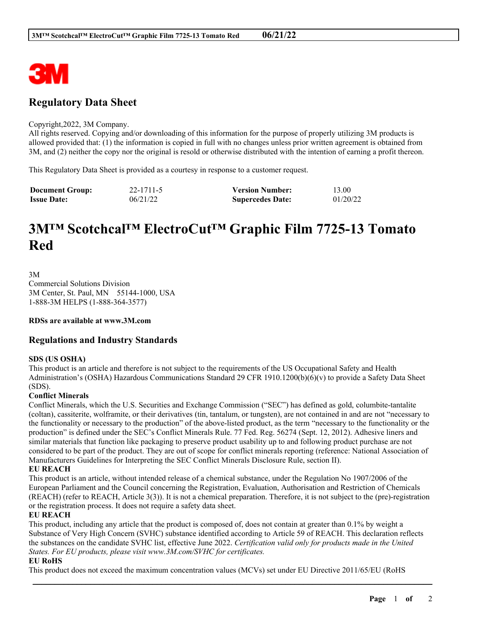

## **Regulatory Data Sheet**

#### Copyright,2022, 3M Company.

All rights reserved. Copying and/or downloading of this information for the purpose of properly utilizing 3M products is allowed provided that: (1) the information is copied in full with no changes unless prior written agreement is obtained from 3M, and (2) neither the copy nor the original is resold or otherwise distributed with the intention of earning a profit thereon.

This Regulatory Data Sheet is provided as a courtesy in response to a customer request.

| <b>Document Group:</b> | 22-1711-5 | <b>Version Number:</b>  | 13.00    |
|------------------------|-----------|-------------------------|----------|
| <b>Issue Date:</b>     | 06/21/22  | <b>Supercedes Date:</b> | 01/20/22 |

# **3M™ Scotchcal™ ElectroCut™ Graphic Film 7725-13 Tomato Red**

3M Commercial Solutions Division 3M Center, St. Paul, MN 55144-1000, USA 1-888-3M HELPS (1-888-364-3577)

**RDSs are available at www.3M.com**

### **Regulations and Industry Standards**

#### **SDS (US OSHA)**

This product is an article and therefore is not subject to the requirements of the US Occupational Safety and Health Administration's (OSHA) Hazardous Communications Standard 29 CFR 1910.1200(b)(6)(v) to provide a Safety Data Sheet (SDS).

#### **Conflict Minerals**

Conflict Minerals, which the U.S. Securities and Exchange Commission ("SEC") has defined as gold, columbite-tantalite (coltan), cassiterite, wolframite, or their derivatives (tin, tantalum, or tungsten), are not contained in and are not "necessary to the functionality or necessary to the production" of the above-listed product, as the term "necessary to the functionality or the production" is defined under the SEC's Conflict Minerals Rule. 77 Fed. Reg. 56274 (Sept. 12, 2012). Adhesive liners and similar materials that function like packaging to preserve product usability up to and following product purchase are not considered to be part of the product. They are out of scope for conflict minerals reporting (reference: National Association of Manufacturers Guidelines for Interpreting the SEC Conflict Minerals Disclosure Rule, section II).

#### **EU REACH**

This product is an article, without intended release of a chemical substance, under the Regulation No 1907/2006 of the European Parliament and the Council concerning the Registration, Evaluation, Authorisation and Restriction of Chemicals (REACH) (refer to REACH, Article 3(3)). It is not a chemical preparation. Therefore, it is not subject to the (pre)-registration or the registration process. It does not require a safety data sheet.

#### **EU REACH**

This product, including any article that the product is composed of, does not contain at greater than 0.1% by weight a Substance of Very High Concern (SVHC) substance identified according to Article 59 of REACH. This declaration reflects the substances on the candidate SVHC list, effective June 2022. *Certification valid only for products made in the United States. For EU products, please visit www.3M.com/SVHC for certificates.*

\_\_\_\_\_\_\_\_\_\_\_\_\_\_\_\_\_\_\_\_\_\_\_\_\_\_\_\_\_\_\_\_\_\_\_\_\_\_\_\_\_\_\_\_\_\_\_\_\_\_\_\_\_\_\_\_\_\_\_\_\_\_\_\_\_\_\_\_\_\_\_\_\_\_\_\_\_\_\_\_\_\_\_\_\_\_\_\_\_\_

#### **EU RoHS**

This product does not exceed the maximum concentration values (MCVs) set under EU Directive 2011/65/EU (RoHS